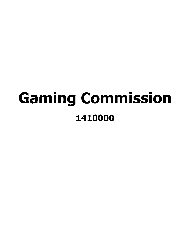# Gaming Commission 1410000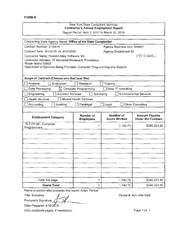| Contracting State Agency Name: Office of the State Comptroller              |                                  |                                  |                                                    |
|-----------------------------------------------------------------------------|----------------------------------|----------------------------------|----------------------------------------------------|
| Contract Number: C150015                                                    |                                  | Agency Business Unit: GAM01      |                                                    |
| Contract Term: 9/1/2015 to 8/31/2020                                        |                                  | <b>Agency Department ID:</b>     |                                                    |
| Contractor Name: Hudson Alley Software, Inc.                                |                                  |                                  | 141000                                             |
| Contractor Address: 10 Memorial Boulevard, Providence<br>Rhode Island 02903 |                                  |                                  |                                                    |
| Description of Services Being Provided: Computer Programming and Support    |                                  |                                  |                                                    |
|                                                                             |                                  |                                  |                                                    |
| Scope of Contract (Choose one that best fits):                              |                                  |                                  |                                                    |
| Analysis<br>Evaluation                                                      | ∏ Research                       | Training                         |                                                    |
| Data Processing                                                             | $\boxtimes$ Computer Programming | □Other IT consulting             |                                                    |
| Architect Services<br>Engineering                                           | Surveying                        |                                  | <b>Environmental Services</b>                      |
| <b>Health Services</b>                                                      | <b>Mental Health Services</b>    |                                  |                                                    |
| Accounting<br>Auditing                                                      | Paralegal                        | Legal                            | Other Consulting                                   |
|                                                                             |                                  |                                  |                                                    |
| <b>Employment Category</b>                                                  | Number of<br><b>Employees</b>    | Number of<br><b>Hours Worked</b> | <b>Amount Payable</b><br><b>Under the Contract</b> |
| 15-1131.00 - Computer<br>Programmers                                        | 1                                | 1,740.75                         | \$240,223.50                                       |
|                                                                             |                                  |                                  |                                                    |
|                                                                             |                                  |                                  |                                                    |
|                                                                             |                                  |                                  |                                                    |
|                                                                             |                                  |                                  |                                                    |
|                                                                             |                                  |                                  |                                                    |
|                                                                             |                                  |                                  |                                                    |
|                                                                             |                                  |                                  |                                                    |
|                                                                             |                                  |                                  |                                                    |
|                                                                             |                                  |                                  |                                                    |
|                                                                             |                                  |                                  |                                                    |
| Total this page                                                             | 1                                | 1,740.75                         | \$240,223.50                                       |
| <b>Grand Total</b>                                                          | 1                                | 1,740.75                         | \$240,223.50                                       |
| Name of person who prepared this report: Adam Perlow                        |                                  |                                  |                                                    |
| <b>Title: Secretary</b>                                                     |                                  |                                  | Phone #: 401-209-7068                              |
| Preparer's Signature:                                                       |                                  |                                  |                                                    |
| Date Prepared: 4/16/2018                                                    |                                  |                                  |                                                    |

Grand Total<br>Name of person who prepartitle: Secretary<br>Proportary Memorial Contract of Contract of Contract of Contract of Contract of Contract of Contract of Contract of Contract of Contract of Contract of Contract of Cont Preparer' s Signature:

(Use additional pages, if necessary)

Page 1 of 1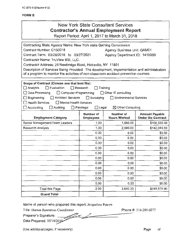# New York State Consultant Services **Contractor's Annual Employment Report**

Report Period: April 1, 2017 to March 31, 2018

| Contracting State Agency Name: New York state Gaming Commission                            |                                  |                                    |                           |  |  |
|--------------------------------------------------------------------------------------------|----------------------------------|------------------------------------|---------------------------|--|--|
| Contract Number: C150018                                                                   |                                  | <b>Agency Business Unit: GAM01</b> |                           |  |  |
| Contract Term: 03/28/2016 to 03/27/2021                                                    |                                  | Agency Department ID: 1410000      |                           |  |  |
| Contractor Name: TruView BSI, LLC.                                                         |                                  |                                    |                           |  |  |
| Contractor Address: 25 Newbridge Road, Hicksville, NY 11801                                |                                  |                                    |                           |  |  |
| Description of Services Being Provided: The development, implementation and administration |                                  |                                    |                           |  |  |
| of a program to monitor the activities of non-classroom accident prevention courses.       |                                  |                                    |                           |  |  |
|                                                                                            |                                  |                                    |                           |  |  |
| Scope of Contract (Choose one that best fits):                                             |                                  |                                    |                           |  |  |
| □ Analysis<br>Evaluation                                                                   | Research                         | Training                           |                           |  |  |
| $\Box$ Data Processing<br>Computer Programming                                             |                                  | $\Box$ Other IT consulting         |                           |  |  |
| $\Box$ Engineering<br>Architect Services                                                   | $\Box$ Surveying                 | <b>Environmental Services</b>      |                           |  |  |
| <b>Health Services</b><br>Mental Health Services                                           |                                  |                                    |                           |  |  |
| $\exists$ Accounting<br>$\Box$ Auditing                                                    | $\Box$ Paralegal<br>$\Box$ Legal | $\boxtimes$ Other Consulting       |                           |  |  |
|                                                                                            | Number of                        | <b>Number of</b>                   | <b>Amount Payable</b>     |  |  |
| <b>Employment Category</b>                                                                 | <b>Employees</b>                 | <b>Hours Worked</b>                | <b>Under the Contract</b> |  |  |
|                                                                                            |                                  |                                    |                           |  |  |
| Senior Management/Team Leaders                                                             | 1.00                             | 1,560.00                           | \$106,530.40              |  |  |
| <b>Research Analysts</b>                                                                   | 1.00                             | 2,080.00                           | \$142,040.50              |  |  |
|                                                                                            | 0.00                             | 0.00                               | \$0.00                    |  |  |
|                                                                                            | 0.00                             | 0.00                               | \$0.00                    |  |  |
|                                                                                            | 0.00                             | 0.00                               | \$0.00                    |  |  |
|                                                                                            | 0.00                             | 0.00                               | \$0.00                    |  |  |
|                                                                                            | 0.00                             | 0.00                               | \$0.00                    |  |  |
|                                                                                            | 0.00                             | 0.00                               | \$0.00                    |  |  |
|                                                                                            | 0.00                             | 0.00                               | \$0.00                    |  |  |
|                                                                                            | 0.00                             | 0.00                               | \$0.00                    |  |  |
|                                                                                            | 0.00                             | 0.00                               | \$0.00                    |  |  |
|                                                                                            | 0.00                             | 0.00                               | \$0.00                    |  |  |
|                                                                                            | 0.00                             | 0.00                               | \$0.00                    |  |  |
| Total this Page                                                                            | 2.00                             | 3,640.00                           | \$248,570.90              |  |  |

Name of person who prepared this report: Jacqueline Petrow

Title: Human Resources Coordinator Phone #: 516-289-0277

Preparer's Signature: ~~ ~~ ~~

Date Prepared: 05/14/2018

(Use additional pages, if necessary) example of the example of the example of the example of the example of the example of the example of the example of the example of the example of the example of the example of the examp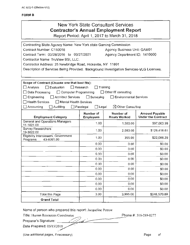| New York State Consultant Services    |
|---------------------------------------|
| Contractor's Annual Employment Report |

Report Period: April 1, 2017 to March 31, 2018

| Contracting State Agency Name: New York state Gaming Commission                         |                                     |                               |                           |
|-----------------------------------------------------------------------------------------|-------------------------------------|-------------------------------|---------------------------|
| Contract Number: C150018                                                                |                                     | Agency Business Unit: GAM01   |                           |
| Contract Term: 03/28/2016 to 03/27/2021                                                 |                                     | Agency Department ID: 1410000 |                           |
| Contractor Name: TruView BSI, LLC.                                                      |                                     |                               |                           |
| Contractor Address: 25 Newbridge Road, Hicksville, NY 11801                             |                                     |                               |                           |
| Description of Services Being Provided: Background Investigation Services-VLG Licenses. |                                     |                               |                           |
|                                                                                         |                                     |                               |                           |
|                                                                                         |                                     |                               |                           |
| Scope of Contract (Choose one that best fits):                                          |                                     |                               |                           |
| $\sqcap$ Evaluation<br>$\Box$ Analysis                                                  | $\Box$ Research<br>$\Box$ Training  |                               |                           |
| $\Box$ Data Processing<br>$\Box$ Computer Programming                                   |                                     | $\Box$ Other IT consulting    |                           |
| $\Box$ Engineering<br>Architect Services                                                | Surveying                           | <b>Environmental Services</b> |                           |
| $\Box$ Health Services<br>Mental Health Services                                        |                                     |                               |                           |
| $\Box$ Accounting<br>Auditing                                                           | $\Box$ Paralegal<br>$\square$ Legal | ⊠ Other Consulting            |                           |
|                                                                                         | Number of                           | Number of                     | <b>Amount Payable</b>     |
| <b>Employment Category</b>                                                              | <b>Employees</b>                    | <b>Hours Worked</b>           | <b>Under the Contract</b> |
| General and Operations Managers<br>11-1021.00                                           | 1.00                                | 1,560.00                      | \$97,063.99               |
| <b>Survey Researchers</b>                                                               | 1.00                                | 2,080.00                      | \$129,418.61              |
| 19-3022.00                                                                              |                                     |                               |                           |
| Eligibility Interviewers, Government<br>Programs<br>43-4061.00                          | 1.00                                | 355.00                        | \$22,088.29               |
|                                                                                         | 0.00                                | 0.00                          | \$0.00                    |
|                                                                                         | 0.00                                | 0.00                          | \$0.00                    |
|                                                                                         | 0.00                                | 0.00                          | \$0.00                    |
|                                                                                         | 0.00                                | 0.00                          | \$0.00                    |
|                                                                                         | 0.00                                | 0.00                          | \$0.00                    |
|                                                                                         | 0.00                                | 0.00                          | \$0.00                    |
|                                                                                         | 0.00                                | 0.00                          | \$0.00                    |
|                                                                                         | 0.00                                | 0.00                          | \$0.00                    |
|                                                                                         | 0.00                                | 0.00                          | \$0.00                    |
|                                                                                         | 0.00                                | 0.00                          | \$0.00                    |
| <b>Total this Page</b>                                                                  | 3.00                                | 3,995.00                      | \$248,570.89              |
| <b>Grand Total</b>                                                                      |                                     |                               |                           |

Name of person who prepared this report: Jacqueline Perrow and Total<br>
m who prepared this report: Jacqueline Petrow<br>
ssources Coordinator<br>
mature:<br>
.: 05/15/2018 repared this report: Jacqueline P<br>Coordinator<br>018

Title: Human Resources Coordinator Phone #: 516-289-0277

Preparer's Signature:

Date Prepared: 05/15/2018

(Use additional pages, if necessary) example of the example of the example of the example of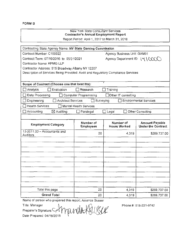## New York State Consultant Services **Contractor's Annual Employment Report**

Report Period: April 1, 2017 to March 31 , 2018

| Contracting State Agency Name: NY State Gaming Commission                        |                               |                                  |                                                    |
|----------------------------------------------------------------------------------|-------------------------------|----------------------------------|----------------------------------------------------|
| Contract Number: C150022                                                         |                               | Agency Business Unit: GAM01      |                                                    |
| Contract Term: 07/16/2016 to 05/31/2021                                          |                               | Agency Department ID: 1410000    |                                                    |
| Contractor Name: KPMG LLP                                                        |                               |                                  |                                                    |
| Contractor Address: 515 Broadway Albany NY 12207                                 |                               |                                  |                                                    |
| Description of Services Being Provided: Audit and Regulatory Compliance Services |                               |                                  |                                                    |
|                                                                                  |                               |                                  |                                                    |
| Scope of Contract (Choose one that best fits):                                   | Ŧ                             |                                  |                                                    |
| Analysis<br>Evaluation                                                           | Research                      | Training                         |                                                    |
| Data Processing                                                                  | Computer Programming          | □Other IT consulting             |                                                    |
| <b>Architect Services</b><br>Engineering                                         | Surveying                     |                                  | <b>Environmental Services</b>                      |
| <b>Health Services</b>                                                           | Mental Health Services        |                                  |                                                    |
| $\boxtimes$ Auditing<br>Accounting                                               | Paralegal                     | $\Box$ Legal                     | Other Consulting                                   |
|                                                                                  |                               |                                  |                                                    |
| <b>Employment Category</b>                                                       | Number of<br><b>Employees</b> | Number of<br><b>Hours Worked</b> | <b>Amount Payable</b><br><b>Under the Contract</b> |
| 13-2011.00 - Accountants and<br>Auditors                                         | 20                            | 4,319                            | \$269,737.00                                       |
|                                                                                  |                               |                                  |                                                    |
|                                                                                  |                               |                                  |                                                    |
|                                                                                  |                               |                                  |                                                    |
|                                                                                  |                               |                                  |                                                    |
|                                                                                  |                               |                                  |                                                    |
|                                                                                  |                               |                                  |                                                    |
|                                                                                  |                               |                                  |                                                    |
|                                                                                  |                               |                                  |                                                    |
|                                                                                  |                               |                                  |                                                    |
| Total this page                                                                  | 20                            | 4,319                            | \$269,737.00                                       |
| <b>Grand Total</b>                                                               | 20                            | 4,319                            | \$269,737.00                                       |
| Name of person who prepared this report: Amanda Susser                           |                               |                                  |                                                    |
| Title: Manager                                                                   |                               |                                  | Phone #: 518-221-9742                              |
| Preparer's Signature: C                                                          | formanda Kkilker              |                                  |                                                    |

Preparer's Signature: ' ~~~ Date Prepared: 04/18/2018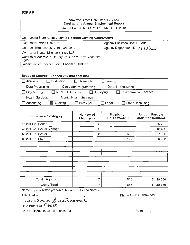| Contracting State Agency Name: NY State Gaming Commission |                        |                                  |                               |
|-----------------------------------------------------------|------------------------|----------------------------------|-------------------------------|
| Contract Number: C160011                                  |                        | Agency Business Unit: GAM01      |                               |
| Contract Term: 3/2/2017 to 2/28/2019                      |                        | Agency Department ID:   4   OCCO |                               |
| Contractor Name: Mitchell & Titus LLP                     |                        |                                  |                               |
| Contractor Address: 1 Battery Park Plaza, New York, NY    |                        |                                  |                               |
| 10004<br>Description of Services Being Provided: Auditing |                        |                                  |                               |
|                                                           |                        |                                  |                               |
|                                                           |                        |                                  |                               |
| Scope of Contract (Choose one that best fits):            |                        |                                  |                               |
| Analysis<br>Evaluation                                    | <b>Research</b>        | $\Box$ Training                  |                               |
| Data Processing                                           | Computer Programming   | □Other IT consulting             |                               |
| <b>Architect Services</b><br>Engineering                  | Surveying              |                                  | <b>Environmental Services</b> |
| <b>Health Services</b>                                    | Mental Health Services |                                  |                               |
| Accounting<br>$\boxtimes$ Auditing                        | Paralegal              | Legal                            | Other Consulting              |
|                                                           |                        |                                  |                               |
|                                                           | Number of              | Number of                        | <b>Amount Payable</b>         |
| <b>Employment Category</b>                                | <b>Employees</b>       | <b>Hours Worked</b>              | <b>Under the Contract</b>     |
| 13-2011.02 Partner                                        | 2                      | 68                               | \$9,792                       |
| 13-2011.02 Senior Manager                                 | 2                      | 100                              | 13,400                        |
| 13-2011.02 Senior                                         | 2                      | 300                              | 37,200                        |
| 13-2011.02 Staff                                          | 1                      | 197                              | 20,258                        |
|                                                           |                        |                                  |                               |
|                                                           |                        |                                  |                               |
|                                                           |                        |                                  |                               |
|                                                           |                        |                                  |                               |
|                                                           |                        |                                  |                               |
|                                                           |                        |                                  |                               |
|                                                           |                        |                                  |                               |
| Total this page                                           |                        | 665                              |                               |
|                                                           | 7                      |                                  | \$<br>80,650                  |

Name of person who prepared this report: Rekha Nambiar

Title: Partner •

Preparer's Signature: Luca Manbial

Date Prepared:  $5/19/18$ 

(Use additional pages, if necessary)

Phone #: (212) 709-4665

Page of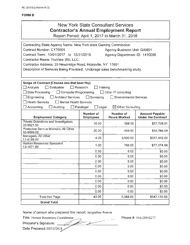## New York State Consultant Services **Contractor's Annual Employment Report**

Report Period: April 1, 2017 to March 31, 2018

| Contracting State Agency Name: New York state Gaming Commission            |                                  |                               |                           |
|----------------------------------------------------------------------------|----------------------------------|-------------------------------|---------------------------|
| Contract Number: C170001                                                   |                                  | Agency Business Unit: GAM01   |                           |
| Contract Term: 10/01/2017 to 12/31/2018                                    |                                  | Agency Department ID: 1410000 |                           |
| Contractor Name: TruView BSI, LLC.                                         |                                  |                               |                           |
| Contractor Address: 25 Newbridge Road, Hicksville, NY 11801                |                                  |                               |                           |
| Description of Services Being Provided: Underage sales benchmarking study. |                                  |                               |                           |
|                                                                            |                                  |                               |                           |
|                                                                            |                                  |                               |                           |
| Scope of Contract (Choose one that best fits):                             |                                  |                               |                           |
| $\Box$ Evaluation<br>$\Box$ Analysis                                       | $\Box$ Research                  | Training                      |                           |
| Data Processing<br>□ Computer Programming                                  |                                  | Other IT consulting           |                           |
| Engineering<br><b>Architect Services</b>                                   | Surveying                        | <b>Environmental Services</b> |                           |
| <b>Health Services</b><br>Mental Health Services                           |                                  |                               |                           |
| Accounting<br>Auditing                                                     | $\Box$ Paralegal<br>$\Box$ Legal | $\boxtimes$ Other Consulting  |                           |
|                                                                            | Number of                        | Number of                     | <b>Amount Payable</b>     |
| <b>Employment Category</b>                                                 | <b>Employees</b>                 | <b>Hours Worked</b>           | <b>Under the Contract</b> |
| Private Detectives and Investigators<br>33-9021.00                         | 18.00                            | 568.50                        | \$57,728.91               |
| Protective Service Workers, All Other<br>33-9099.00                        | 20.00                            | 539.50                        | \$54,784.09               |
| Managers, All Other<br>11-9199.00                                          | 4.00                             | 3,520.00                      | \$357,442.02              |
| Human Resources Specialist<br>13-1071.00                                   | 1.00                             | 760.00                        | \$77,174.98               |
|                                                                            | 0.00                             | 0.00                          | \$0.00                    |
|                                                                            | 0.00                             | 0.00                          | \$0.00                    |
|                                                                            | 0.00                             | 0.00                          | \$0.00                    |
|                                                                            | 0.00                             | 0.00                          | \$0.00                    |
|                                                                            | 0.00                             | 0.00                          | \$0.00                    |
|                                                                            | 0.00                             | 0.00                          | \$0.00                    |
|                                                                            | 0.00                             | 0.00                          | \$0.00                    |
|                                                                            | 0.00                             | 0.00                          | \$0.00                    |
|                                                                            | 0.00                             | 0.00                          | \$0.00                    |
| <b>Total this Page</b>                                                     | 43.00                            | 5,388.00                      | \$547,130.00              |
| <b>Grand Total</b>                                                         |                                  |                               |                           |

Name of person who prepared this report: Jacqueline Petrow

Stand Total<br>
Name of person who prepared this report: Jacqueline Petrow<br>
Title: Human Resources Coordinator<br>
Preparer's Signature: Preparer's Signature:

Date Prepared: 05/15/2018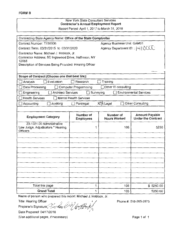| Contracting State Agency Name: Office of the State Comptroller                    |                               |                                    |                                                    |
|-----------------------------------------------------------------------------------|-------------------------------|------------------------------------|----------------------------------------------------|
| Contract Number: T150006                                                          |                               | Agency Business Unit: GAM01        |                                                    |
| Contract Term: 03/31/2015 to 03/31/2020                                           |                               | Agency Department ID: :   4   0CCC |                                                    |
| Contractor Name: Michael J. Hoblock, Jr.                                          |                               |                                    |                                                    |
| Contractor Address: 5C Inglewood Drive, Halfmoon, NY                              |                               |                                    |                                                    |
| 12065<br>Description of Services Being Provided: Hearing Officer                  |                               |                                    |                                                    |
|                                                                                   |                               |                                    |                                                    |
|                                                                                   |                               |                                    |                                                    |
| Scope of Contract (Choose one that best fits):                                    |                               |                                    |                                                    |
| Evaluation<br>Analysis                                                            | Research                      | $\Box$ Training                    |                                                    |
| Data Processing                                                                   | Computer Programming          | Other IT consulting                |                                                    |
| Engineering<br><b>Architect Services</b>                                          | Surveying                     |                                    | <b>Environmental Services</b>                      |
| <b>Health Services</b>                                                            | <b>Mental Health Services</b> |                                    |                                                    |
| Accounting<br>Auditing                                                            | Paralegal                     | X <b>E</b> } Legal                 | <b>Other Consulting</b>                            |
|                                                                                   |                               |                                    |                                                    |
| <b>Employment Category</b>                                                        | Number of<br><b>Employees</b> | Number of<br><b>Hours Worked</b>   | <b>Amount Payable</b><br><b>Under the Contract</b> |
| 23-1021.00 Administrative<br>Law Judge, Adjudicators * Hearing<br><b>Officers</b> | 1                             | 105                                | 5250                                               |
|                                                                                   |                               |                                    |                                                    |
|                                                                                   |                               |                                    |                                                    |
|                                                                                   |                               |                                    |                                                    |
|                                                                                   |                               |                                    |                                                    |
|                                                                                   |                               |                                    |                                                    |
|                                                                                   |                               |                                    |                                                    |
|                                                                                   |                               |                                    |                                                    |
|                                                                                   |                               |                                    |                                                    |
|                                                                                   |                               |                                    |                                                    |
|                                                                                   |                               |                                    |                                                    |
| Total this page                                                                   | 1                             | 105                                | \$5250.00                                          |
| <b>Grand Total</b>                                                                | 1                             | 105                                | 5250.00                                            |

Name of person who prepared this report: Michael J. Hoblock, Jr.

Title: Hearing Officer<br>Preparer's Signature: *Le dae* Of Yertery Preparer's Signature Acc &

Date Prepared: 04/17/2018 )

(Use additional pages, if necessary)

Phone#: 518-265-2875

Page 1 of 1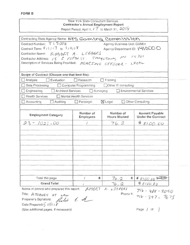#### New York State Consultant Services **Contractor's Annual Employment Report**  Report Period: April 1, *I*  $\overline{7}$  to March 31,  $\overline{4018}$

| Contracting State Agency Name: NYS GOMING COMMISSION            |                               |                               |                               |
|-----------------------------------------------------------------|-------------------------------|-------------------------------|-------------------------------|
| Contract Number: T I 5008                                       |                               | Agency Business Unit: GAM01   |                               |
| Contract Term: $4/1/17$ to $3/3/18$                             |                               | Agency Department ID: 1410000 |                               |
| Contractor Name: ROBERT A. LIEBERS                              |                               |                               |                               |
| Contractor Address: 15 E FIFTH ST. JAMESTOWN, MY 14701          |                               |                               |                               |
| Description of Services Being Provided: HEARING OFFJCER - LECAL |                               |                               |                               |
|                                                                 |                               |                               |                               |
| Scope of Contract (Choose one that best fits):                  |                               |                               |                               |
| Evaluation<br>Analysis                                          | Research                      | $\Box$ Training               |                               |
| Data Processing                                                 | <b>Computer Programming</b>   | □Other IT consulting          |                               |
| Architect Services<br>Engineering                               | П<br>Surveying                |                               | <b>Environmental Services</b> |
| <b>Health Services</b>                                          | <b>Mental Health Services</b> |                               |                               |
| Accounting<br>Auditing                                          | Paralegal                     | X Legal                       | Other Consulting              |
|                                                                 |                               |                               |                               |
|                                                                 | Number of                     | Number of                     | Amount Payable                |
| <b>Employment Category</b>                                      | <b>Employees</b>              | <b>Hours Worked</b>           | <b>Under the Contract</b>     |
| $23 - 1021.00$                                                  |                               | 76, 2                         | #8100.00                      |
|                                                                 |                               |                               |                               |
|                                                                 |                               |                               |                               |
|                                                                 |                               |                               |                               |
|                                                                 |                               |                               |                               |
|                                                                 |                               |                               |                               |
|                                                                 |                               |                               |                               |
|                                                                 |                               |                               |                               |
|                                                                 |                               |                               |                               |
|                                                                 |                               |                               |                               |
|                                                                 |                               |                               |                               |
| Total this page                                                 | I<br>云                        | £0<br>76.2                    | $8100.005 - 000$              |
| <b>Grand Total</b>                                              |                               | 76.2                          | 8,8100.00                     |

Name of person who prepared this report: *fLDBERT* A. L. J.E. 6 ERL 710 - 9.ft' - *30* 7 *0* 

Title: *A TORNAY* AT LAW<br>Preparer's Signature: *Rule 4. A* Preparer's Signature: *Ritu*<br>Date Prepared: 1151 J

(Use additional pages, if necessary)

Page / of /

Phone #:  $716 - 397 - 7673$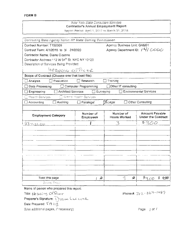#### New York State Consultant Services Contractor's Annual Employment Report

Report Period: April 1, 2017 to March 31, 2016.

| Contracting State Agency Name: NY State Gaming Commission |                                  |                                 |                                                    |
|-----------------------------------------------------------|----------------------------------|---------------------------------|----------------------------------------------------|
| Contract Number: T150009                                  |                                  | Agency Business Unit: GAM01     |                                                    |
| Contract Term: 4/1/2015 to 3/ 31/2020                     |                                  | Agency Department ID: / 4/ 0000 |                                                    |
| Contractor Name: Diane Ciccone                            |                                  |                                 |                                                    |
| Contractor Address: 112 W 34th St. NYC NY 10120           |                                  |                                 |                                                    |
| Description of Services Being Provided:                   |                                  |                                 |                                                    |
| Hegeing OFFICER                                           |                                  |                                 |                                                    |
| Scope of Contract (Choose one that best fits):            |                                  |                                 |                                                    |
| Evaluation<br>Analysis                                    | <b>Research</b>                  | Training                        |                                                    |
| Data Processing                                           | Computer Programming             | Other IT consulting             |                                                    |
| <b>Architect Services</b><br>Engineering                  | Surveying                        |                                 | <b>Environmental Services</b>                      |
| Health Services                                           | <b>ITT Meanst Haadh Gervices</b> |                                 |                                                    |
| Auditing<br>Accounting                                    | $\Box$ Paralegal                 | <b>XLegal</b>                   | Other Consulting                                   |
|                                                           |                                  |                                 |                                                    |
|                                                           |                                  |                                 |                                                    |
| <b>Employment Category</b>                                | Number of<br><b>Employees</b>    | Number of<br>Hours Worked       | <b>Amount Payable</b><br><b>Under the Contract</b> |
|                                                           |                                  | 3                               | # 300                                              |
| $23 - 1.00$                                               |                                  |                                 |                                                    |
|                                                           |                                  |                                 |                                                    |
|                                                           |                                  |                                 |                                                    |
|                                                           |                                  |                                 |                                                    |
|                                                           |                                  |                                 |                                                    |
|                                                           |                                  |                                 |                                                    |
|                                                           |                                  |                                 |                                                    |
|                                                           |                                  |                                 |                                                    |
|                                                           |                                  |                                 |                                                    |
|                                                           |                                  |                                 |                                                    |
| Total this page<br>Grant, This                            | D<br>L                           | 3<br>D                          | 8200<br>s.<br>0.00                                 |

Name of person who prepared this report:

Title: Hearing Officer

Preparer's Signature: Drawe LLL come Date Prepared: 5/9/18 (Use. additional pages, if necessary)

Phone #:  $212 - 227 - 1489$ 

Page | of /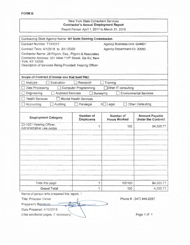### New York State Consultant Services **Contractor's Annual Employment Report**

Report Period: April 1, 2017 to March 31, 2018

| Contracting State Agency Name: NY State Gaming Commission |                               |                                  |                                                    |
|-----------------------------------------------------------|-------------------------------|----------------------------------|----------------------------------------------------|
| Contract Number: T150010                                  |                               | Agency Business Unit: GAM01      |                                                    |
| Contract Term: 4/1/2018 to 3/31/2020                      |                               | Agency Department ID: 20050      |                                                    |
| Contractor Name: Jill Pilgrim, Esq., Pilgrim & Associates |                               |                                  |                                                    |
| Contractor Address: 301 West 110th Street, Ste 6U, New    |                               |                                  |                                                    |
| York, NY 10026                                            |                               |                                  |                                                    |
| Description of Services Being Provided: Hearing Officer   |                               |                                  |                                                    |
|                                                           |                               |                                  |                                                    |
| Scope of Contract (Choose one that best fits):            |                               |                                  |                                                    |
| Evaluation<br>Analysis                                    | Research                      | Training                         |                                                    |
| Data Processing                                           | <b>Computer Programming</b>   | Other IT consulting              |                                                    |
| Engineering<br><b>Architect Services</b>                  | Surveying                     |                                  | <b>Environmental Services</b>                      |
| <b>Health Services</b>                                    | <b>Mental Health Services</b> |                                  |                                                    |
| Accounting<br>Auditing                                    | Paralegal                     | $X \square$ Legal                | Other Consulting                                   |
|                                                           |                               |                                  |                                                    |
| <b>Employment Category</b>                                | Number of<br><b>Employees</b> | Number of<br><b>Hours Worked</b> | <b>Amount Payable</b><br><b>Under the Contract</b> |
| 23-1021 Hearing Officer,                                  | 1                             | 100                              | \$4,325.77                                         |
| Administrative Law Judge                                  |                               |                                  |                                                    |
|                                                           |                               |                                  |                                                    |
|                                                           |                               |                                  |                                                    |
|                                                           |                               |                                  |                                                    |
|                                                           |                               |                                  |                                                    |
|                                                           |                               |                                  |                                                    |
|                                                           |                               |                                  |                                                    |
|                                                           |                               |                                  |                                                    |
|                                                           |                               |                                  |                                                    |
|                                                           |                               |                                  |                                                    |
|                                                           |                               |                                  |                                                    |
|                                                           |                               | 100100                           |                                                    |
| Total this page                                           | 1                             |                                  | \$4,325.77                                         |

Name of person who prepared this report: 1

Preparer's Signature:

Date Prepared: 5/10/2018

(Use additional pages, if necessary) and the contract of the Page 1 of 1

Title: Principal Owner  $\uparrow$  Phone #: (347) 949-2287